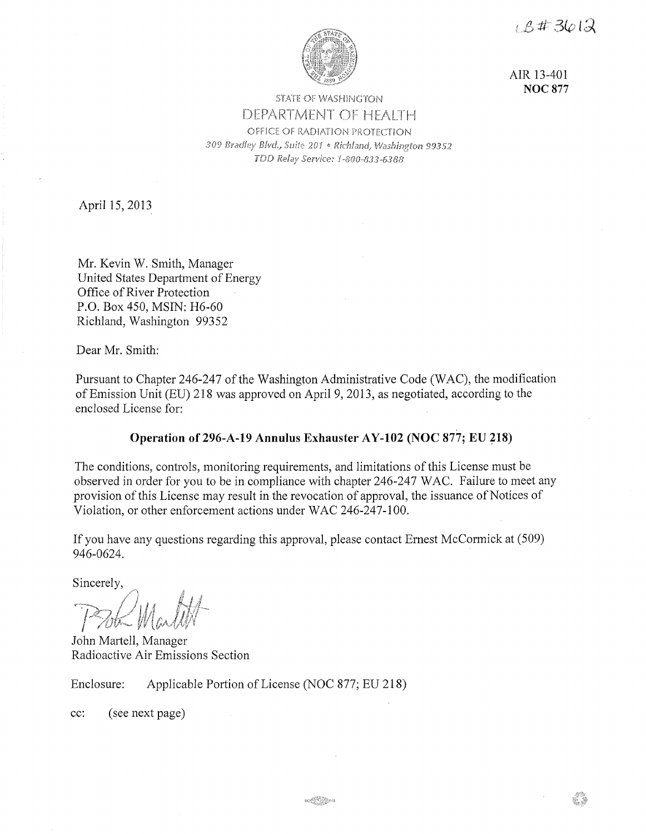$1.5\#3612$ 



AIR 13-401 **NOC877** 

# **STATE OF WASHINGTON** DEPARTMENT OF HEALTH OFFICE OF RADIATION PROTECTION 309 Bradley Blvd., Suite 201 • Richland, Washington 99352 TDD Relay Service: 1-800-833-6388

April 15, 2013

Mr. Kevin W. Smith, Manager United States Department of Energy Office of River Protection P.O. Box 450, MSIN: H6-60 Richland, Washington 99352

Dear Mr. Smith:

Pursuant to Chapter 246-247 of the Washington Administrative Code (WAC), the modification of Emission Unit (EU) 218 was approved on April 9, 2013, as negotiated, according to the enclosed License for:

# **Operation of 296-A-19 Annulus Exhauster AY-102 (NOC 877; EU 218)**

The conditions, controls, monitoring requirements, and limitations of this License must be observed in order for you to be in compliance with chapter 246-247 WAC. Failure to meet any provision of this License may result in the revocation of approval, the issuance of Notices of Violation, or other enforcement actions under WAC 246-247-100.

If you have any questions regarding this approval, please contact Ernest McCormick at (509) 946-0624.

Sincerely,

John Martell, Manager Radioactive Air Emissions Section

Enclosure: Applicable Portion of License (NOC 877; EU 218)

cc: (see next page)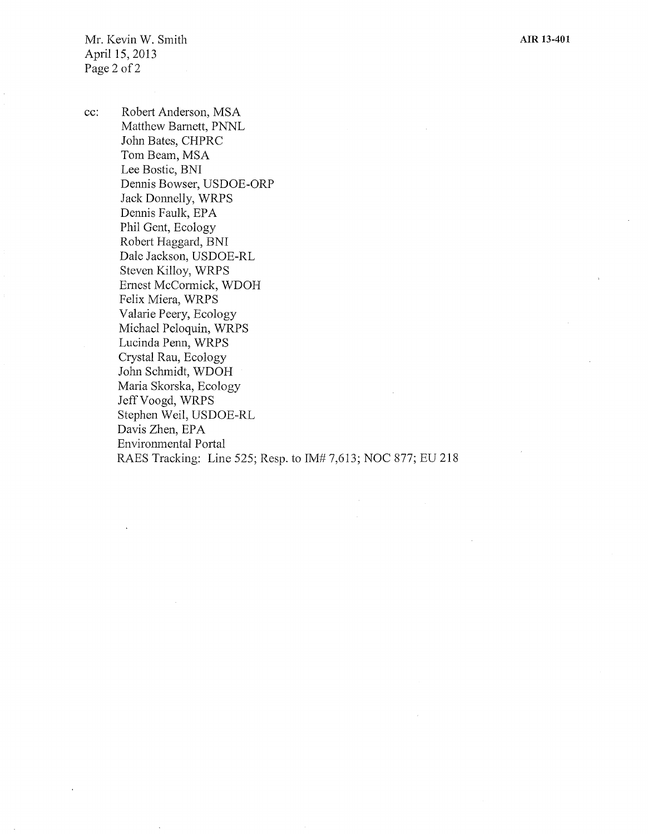Mr. Kevin W. Smith April 15, 2013 Page 2 of 2

cc: Robert Anderson, MSA Matthew Barnett, PNNL John Bates, CHPRC Tom Beam, MSA Lee Bostic, BNI Dennis Bowser, USDOE-ORP Jack Donnelly, WRPS Dennis Faulk, EPA Phil Gent, Ecology Robert Haggard, BNI Dale Jackson, USDOE-RL Steven Killoy, WRPS Ernest McCormick, WDOH Felix Miera, WRPS Valarie Peery, Ecology Michael Peloquin, WRPS Lucinda Penn, WRPS Crystal Rau, Ecology John Schmidt, WDOH Maria Skorska, Ecology Jeff Voogd, WRPS Stephen Weil, USDOE-RL Davis Zhen, EPA Environmental Portal RAES Tracking: Line 525; Resp. to IM# 7,613; NOC 877; EU 218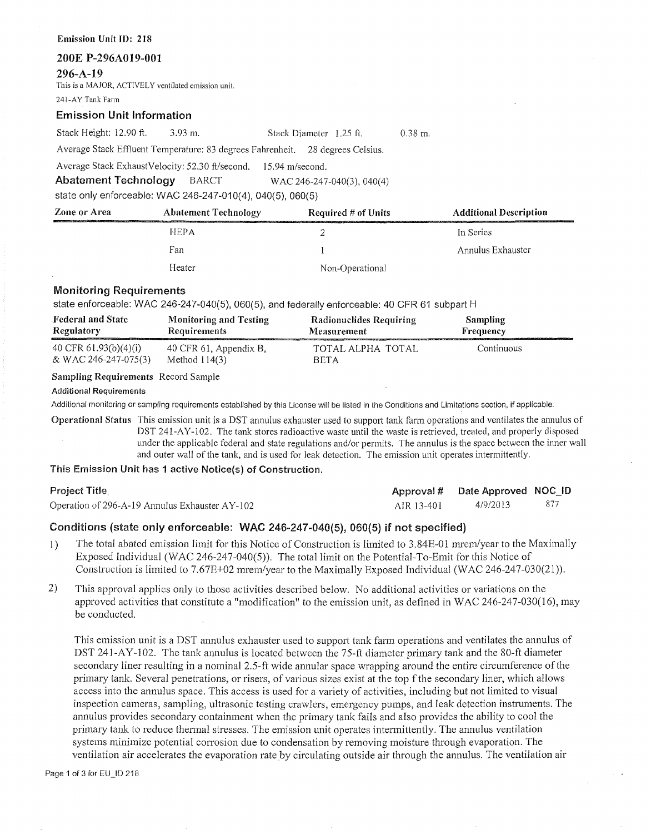#### **Emission Unit** ID: 218

#### **200E P-296A019-001**

**296-A-19** 

This is a MAJOR, ACTIVELY ventilated emission unit.

241-AYTank Fann

#### **Emission Unit Information**

Stack Height: 12.90 ft. 3.93 m. Stack Diameter 1.25 ft.

Average Stack Effluent Temperature: 83 degrees Fahrenheit. 28 degrees Celsius.

Average Stack ExhaustVelocity: 52.30 ft/second. 15.94 m/second.

**Abatement Technology** BARCT WAC 246-247-040(3), 040(4)

state only enforceable: WAC 246-247-010(4), 040(5), 060(5)

| Zone or Area | <b>Abatement Technology</b><br>the contract the maximum of the contract of the contract of the contract of the contract of the contract of the contract of the contract of the contract of the contract of the contract of the contract of the contract of th | Required $#$ of Units | <b>Additional Description</b> |  |
|--------------|---------------------------------------------------------------------------------------------------------------------------------------------------------------------------------------------------------------------------------------------------------------|-----------------------|-------------------------------|--|
|              | <b>HEPA</b>                                                                                                                                                                                                                                                   |                       | In Series                     |  |
|              | Fan                                                                                                                                                                                                                                                           |                       | Annulus Exhauster             |  |
|              | Heater                                                                                                                                                                                                                                                        | Non-Operational       |                               |  |

0.38 m.

### **Monitoring Requirements**

state enforceable: WAC 246-247-040(5), 060(5), and federally enforceable: 40 CFR 61 subpart H

| <b>Federal and State</b> | <b>Monitoring and Testing</b> | Radionuclides Requiring | <b>Sampling</b> |
|--------------------------|-------------------------------|-------------------------|-----------------|
| <b>Regulatory</b>        | Requirements                  | <b>Measurement</b>      | Frequency       |
| 40 CFR $61.93(b)(4)(i)$  | 40 CFR 61, Appendix B,        | TOTAL ALPHA TOTAL       | Continuous      |
| & WAC 246-247-075(3)     | Method $114(3)$               | <b>BETA</b>             |                 |

# **Sampling Requirements** Record Sample

**Additional Requirements** 

Additional monitoring or sampling requirements established by this License will be listed in the Conditions and Limitations section, if applicable.

**Operational Status** This emission unit is a DST annulus exhauster used to support tank farm operations and ventilates the annulus of DST 241-AY-102. The tank stores radioactive waste until the waste is retrieved, treated, and properly disposed under the applicable federal and state regulations and/or permits. The annulus is the space between the inner wall and outer wall of the tank, and is used for leak detection. The emission unit operates intermittently.

**This Emission Unit has 1 active Notice(s) of Construction.** 

| Project Title                                  |            | Approval # Date Approved NOC_ID |      |
|------------------------------------------------|------------|---------------------------------|------|
| Operation of 296-A-19 Annulus Exhauster AY-102 | AIR 13-401 | 4/9/2013                        | -877 |

## Conditions (state only enforceable: WAC 246-247-040(5), 060(5) if not specified)

- 1) The total abated emission limit for this Notice of Construction is limited to 3.84E-01 mrem/year to the Maximally Exposed Individual (WAC 246-247-040(5)). The total limit on the Potential-To-Emit for this Notice of Construction is limited to 7.67E+02 mrem/year to the Maximally Exposed Individual (WAC 246-247-030(21)).
- 2) This approval applies only to those activities described below. No additional activities or variations on the approved activities that constitute a "modification" to the emission unit, as defined in WAC 246-247-030(16), may be conducted.

This emission unit is a DST annulus exhauster used to support tank farm operations and ventilates the annulus of DST 241-AY-102. The tank annulus is located between the 75-ft diameter primary tank and the 80-ft diameter secondary liner resulting in a nominal 2.5-ft wide annular space wrapping around the entire circumference of the primary tank. Several penetrations, or risers, of various sizes exist at the top fthe secondary liner, which allows access into the annulus space. This access is used for a variety of activities, including but not limited to visual inspection cameras, sampling, ultrasonic testing crawlers, emergency pumps, and leak detection instruments. The annulus provides secondary containment when the primary tank fails and also provides the ability to cool the primary tank to reduce thennal stresses. The emission unit operates intennittently. The annulus ventilation systems minimize potential corrosion due to condensation by removing moisture through evaporation. The ventilation air accelerates the evaporation rate by circulating outside air through the annulus. The ventilation air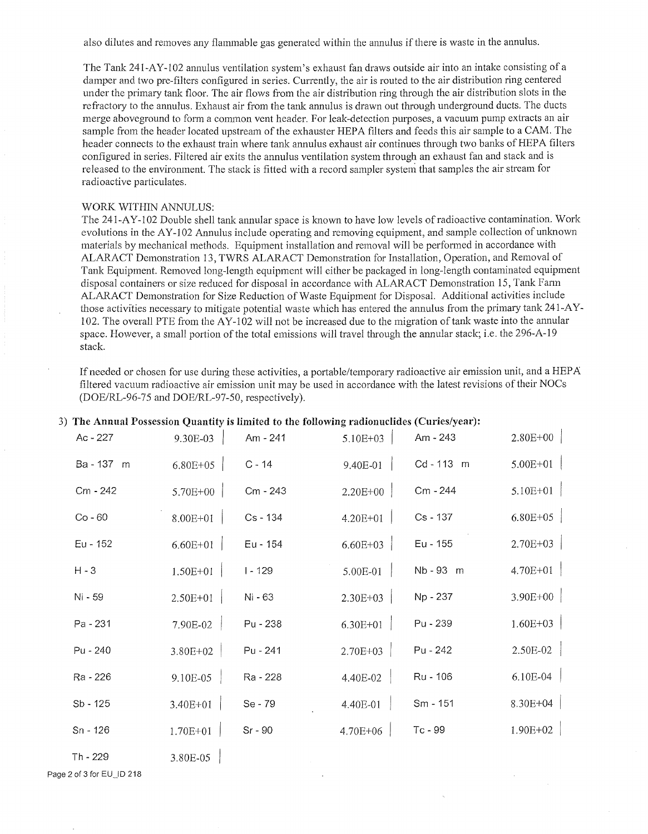also dilutes and removes any flammable gas generated within the annulus ifthere is waste in the annulus.

The Tank 241-AY-102 annulus ventilation system's exhaust fan draws outside air into an intake consisting of a damper and two pre-filters configured in series. Currently, the air is routed to the air distribution ring centered under the primary tank floor. The air flows from the air distribution ring through the air distribution slots in the refractory to the annulus. Exhaust air from the tank annulus is drawn out through underground ducts. The ducts merge aboveground to form a common vent header. For leak-detection purposes, a vacuum pump extracts an air sample from the header located upstream of the exhauster HEPA filters and feeds this air sample to a CAM. The header connects to the exhaust train where tank annulus exhaust air continues through two banks of HEPA filters configured in series. Filtered air exits the annulus ventilation system through an exhaust fan and stack and is released to the environment. The stack is fitted with a record sampler system that samples the air stream for radioactive particulates.

### WORK WITHIN ANNULUS:

The 241-A Y-102 Double shell tank annular space is known to have low levels of radioactive contamination. Work evolutions in the AY-102 Annulus include operating and removing equipment, and sample collection of unknown materials by mechanical methods. Equipment installation and removal will be perfonned in accordance with ALARACT Demonstration 13, TWRS ALARACT Demonstration for Installation, Operation, and Removal of Tank Equipment. Removed long-length equipment will either be packaged in long-length contaminated equipment disposal containers or size reduced for disposal in accordance with ALARACT Demonstration 15, Tank Fann ALARACT Demonstration for Size Reduction of Waste Equipment for Disposal. Additional activities include those activities necessary to mitigate potential waste which has entered the annulus from the primary tank 241-AY-102. The overall PTE from the AY-102 will not be increased due to the migration of tank waste into the annular space. However, a small portion of the total emissions will travel through the annular stack; i.e. the 296-A-19 stack.

If needed or chosen for use during these activities, a portable/temporary radioactive air emission unit, and a HEPA filtered vacuum radioactive air emission unit may be used in accordance with the latest revisions of their NOCs (DOE/RL-96-75 and DOE/RL-97-50, respectively).

| Ac - 227   | 9.30E-03     | Am - 241   | 5.10E+03     | Am - 243  | $2.80E+00$       |
|------------|--------------|------------|--------------|-----------|------------------|
| Ba-137 m   | 6.80E+05     | $C - 14$   | $9.40E-01$   | Cd-113 m  | $5.00E+01$       |
| Cm - 242   | $5.70E+00$   | Cm - 243   | $2.20E+00$   | Cm - 244  | $5.10E+01$       |
| $Co - 60$  | $8.00E+01$   | $Cs - 134$ | 4.20E+01     | Cs - 137  | $6.80E + 05$     |
| Eu - 152   | $6.60E+01$   | Eu - 154   | $6.60E + 03$ | Eu - 155  | $2.70E+03$       |
| $H - 3$    | $1.50E + 01$ | $1 - 129$  | $5.00E-01$   | Nb - 93 m | $4.70E+01$       |
| Ni - 59    | $2.50E+01$   | Ni - 63    | $2.30E+03$   | Np - 237  | 3.90E+00         |
| Pa - 231   | $7.90E-02$   | Pu - 238   | 6.30E+01     | Pu - 239  | $1.60E + 03$     |
| Pu - 240   | $3.80E + 02$ | Pu - 241   | 2.70E+03     | Pu - 242  | $2.50E-02$       |
| Ra - 226   | $9.10E-05$   | Ra - 228   | 4.40E-02     | Ru - 106  | $6.10E-04$       |
| $Sb - 125$ | 3.40E+01     | Se - 79    | 4.40E-01     | Sm - 151  | 8.30E+04 $\vert$ |
| Sn - 126   | $1.70E + 01$ | Sr - 90    | $4.70E + 06$ | Tc-99     | $1.90E + 02$     |
| Th - 229   | 3.80E-05     |            |              |           |                  |

### 3) **The Annual Possession Quantity is limited to the following radionuclides (Curies/year):**

Page 2 of 3 for EU\_ID 218